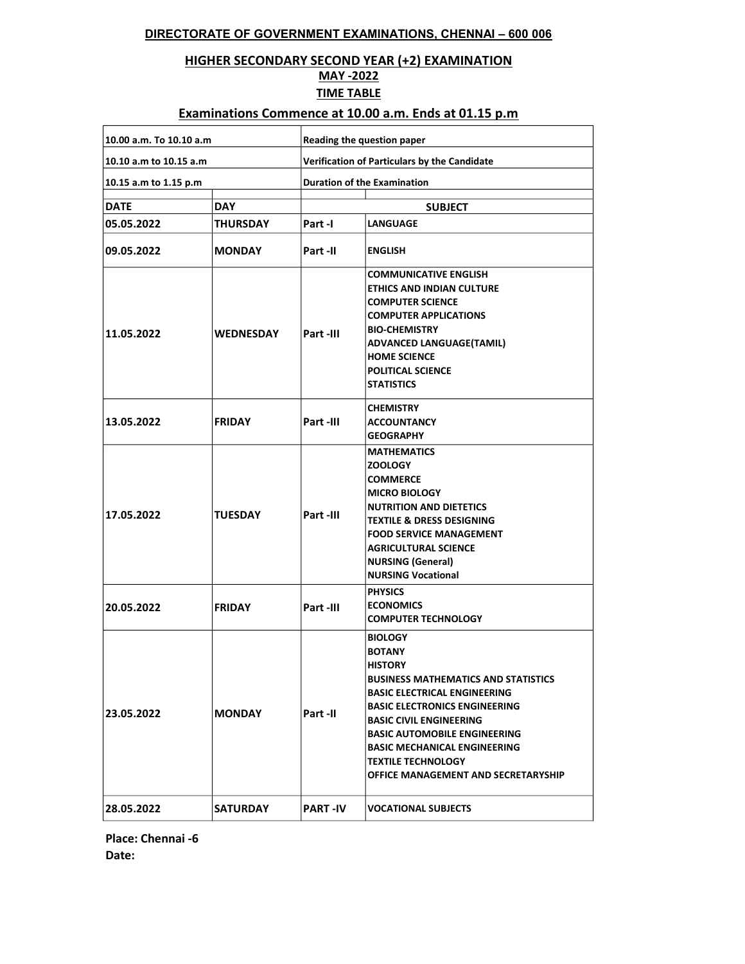### DIRECTORATE OF GOVERNMENT EXAMINATIONS, CHENNAI – 600 006

### HIGHER SECONDARY SECOND YEAR (+2) EXAMINATION

# MAY -2022

#### TIME TABLE

### Examinations Commence at 10.00 a.m. Ends at 01.15 p.m

| 10.00 a.m. To 10.10 a.m |                  | Reading the question paper                                                                                                                                                                                                                                                 |                                                                                                                                                                                                                                                                                                                                                                           |  |
|-------------------------|------------------|----------------------------------------------------------------------------------------------------------------------------------------------------------------------------------------------------------------------------------------------------------------------------|---------------------------------------------------------------------------------------------------------------------------------------------------------------------------------------------------------------------------------------------------------------------------------------------------------------------------------------------------------------------------|--|
| 10.10 a.m to 10.15 a.m  |                  | Verification of Particulars by the Candidate                                                                                                                                                                                                                               |                                                                                                                                                                                                                                                                                                                                                                           |  |
| 10.15 a.m to 1.15 p.m   |                  | <b>Duration of the Examination</b>                                                                                                                                                                                                                                         |                                                                                                                                                                                                                                                                                                                                                                           |  |
| <b>DATE</b>             | <b>DAY</b>       |                                                                                                                                                                                                                                                                            | <b>SUBJECT</b>                                                                                                                                                                                                                                                                                                                                                            |  |
| 05.05.2022              | <b>THURSDAY</b>  | Part -l                                                                                                                                                                                                                                                                    | <b>LANGUAGE</b>                                                                                                                                                                                                                                                                                                                                                           |  |
| 09.05.2022              | <b>MONDAY</b>    | Part -II                                                                                                                                                                                                                                                                   | <b>ENGLISH</b>                                                                                                                                                                                                                                                                                                                                                            |  |
| 11.05.2022              | <b>WEDNESDAY</b> | <b>COMMUNICATIVE ENGLISH</b><br><b>ETHICS AND INDIAN CULTURE</b><br><b>COMPUTER SCIENCE</b><br><b>COMPUTER APPLICATIONS</b><br><b>BIO-CHEMISTRY</b><br>Part-III<br><b>ADVANCED LANGUAGE(TAMIL)</b><br><b>HOME SCIENCE</b><br><b>POLITICAL SCIENCE</b><br><b>STATISTICS</b> |                                                                                                                                                                                                                                                                                                                                                                           |  |
| 13.05.2022              | <b>FRIDAY</b>    | Part-III                                                                                                                                                                                                                                                                   | <b>CHEMISTRY</b><br><b>ACCOUNTANCY</b><br><b>GEOGRAPHY</b>                                                                                                                                                                                                                                                                                                                |  |
| 17.05.2022              | <b>TUESDAY</b>   | Part-III                                                                                                                                                                                                                                                                   | <b>MATHEMATICS</b><br><b>ZOOLOGY</b><br><b>COMMERCE</b><br><b>MICRO BIOLOGY</b><br><b>NUTRITION AND DIETETICS</b><br><b>TEXTILE &amp; DRESS DESIGNING</b><br><b>FOOD SERVICE MANAGEMENT</b><br><b>AGRICULTURAL SCIENCE</b><br><b>NURSING (General)</b><br><b>NURSING Vocational</b>                                                                                       |  |
| 20.05.2022              | <b>FRIDAY</b>    | Part -III                                                                                                                                                                                                                                                                  | <b>PHYSICS</b><br><b>ECONOMICS</b><br><b>COMPUTER TECHNOLOGY</b>                                                                                                                                                                                                                                                                                                          |  |
| 23.05.2022              | <b>MONDAY</b>    | Part -II                                                                                                                                                                                                                                                                   | <b>BIOLOGY</b><br><b>BOTANY</b><br><b>HISTORY</b><br><b>BUSINESS MATHEMATICS AND STATISTICS</b><br><b>BASIC ELECTRICAL ENGINEERING</b><br><b>BASIC ELECTRONICS ENGINEERING</b><br><b>BASIC CIVIL ENGINEERING</b><br><b>BASIC AUTOMOBILE ENGINEERING</b><br><b>BASIC MECHANICAL ENGINEERING</b><br><b>TEXTILE TECHNOLOGY</b><br><b>OFFICE MANAGEMENT AND SECRETARYSHIP</b> |  |
| 28.05.2022              | <b>SATURDAY</b>  | <b>PART-IV</b>                                                                                                                                                                                                                                                             | <b>VOCATIONAL SUBJECTS</b>                                                                                                                                                                                                                                                                                                                                                |  |

Place: Chennai -6 Date: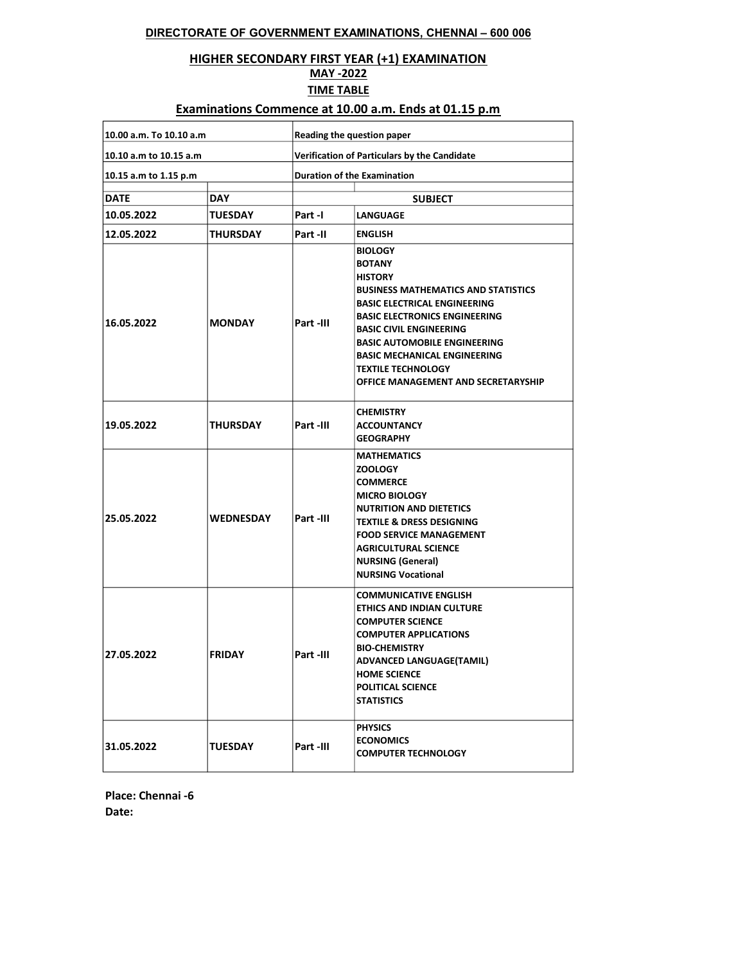#### DIRECTORATE OF GOVERNMENT EXAMINATIONS, CHENNAI – 600 006

### HIGHER SECONDARY FIRST YEAR (+1) EXAMINATION

#### MAY -2022

TIME TABLE

### Examinations Commence at 10.00 a.m. Ends at 01.15 p.m

| 10.00 a.m. To 10.10 a.m |                  | Reading the question paper                                                                                                                                                                                                                                                                                                                                                             |                                                                                                                                                                                                                                                                                     |  |
|-------------------------|------------------|----------------------------------------------------------------------------------------------------------------------------------------------------------------------------------------------------------------------------------------------------------------------------------------------------------------------------------------------------------------------------------------|-------------------------------------------------------------------------------------------------------------------------------------------------------------------------------------------------------------------------------------------------------------------------------------|--|
| 10.10 a.m to 10.15 a.m  |                  | Verification of Particulars by the Candidate                                                                                                                                                                                                                                                                                                                                           |                                                                                                                                                                                                                                                                                     |  |
| 10.15 a.m to 1.15 p.m   |                  | <b>Duration of the Examination</b>                                                                                                                                                                                                                                                                                                                                                     |                                                                                                                                                                                                                                                                                     |  |
| <b>DATE</b>             | <b>DAY</b>       | <b>SUBJECT</b>                                                                                                                                                                                                                                                                                                                                                                         |                                                                                                                                                                                                                                                                                     |  |
| 10.05.2022              | <b>TUESDAY</b>   | Part-I                                                                                                                                                                                                                                                                                                                                                                                 | <b>LANGUAGE</b>                                                                                                                                                                                                                                                                     |  |
| 12.05.2022              | <b>THURSDAY</b>  | Part -II                                                                                                                                                                                                                                                                                                                                                                               | <b>ENGLISH</b>                                                                                                                                                                                                                                                                      |  |
| 16.05.2022              | <b>MONDAY</b>    | <b>BIOLOGY</b><br><b>BOTANY</b><br><b>HISTORY</b><br><b>BUSINESS MATHEMATICS AND STATISTICS</b><br><b>BASIC ELECTRICAL ENGINEERING</b><br><b>BASIC ELECTRONICS ENGINEERING</b><br>Part -III<br><b>BASIC CIVIL ENGINEERING</b><br><b>BASIC AUTOMOBILE ENGINEERING</b><br><b>BASIC MECHANICAL ENGINEERING</b><br><b>TEXTILE TECHNOLOGY</b><br><b>OFFICE MANAGEMENT AND SECRETARYSHIP</b> |                                                                                                                                                                                                                                                                                     |  |
| 19.05.2022              | <b>THURSDAY</b>  | Part -III                                                                                                                                                                                                                                                                                                                                                                              | <b>CHEMISTRY</b><br><b>ACCOUNTANCY</b><br><b>GEOGRAPHY</b>                                                                                                                                                                                                                          |  |
| 25.05.2022              | <b>WEDNESDAY</b> | Part-III                                                                                                                                                                                                                                                                                                                                                                               | <b>MATHEMATICS</b><br><b>ZOOLOGY</b><br><b>COMMERCE</b><br><b>MICRO BIOLOGY</b><br><b>NUTRITION AND DIETETICS</b><br><b>TEXTILE &amp; DRESS DESIGNING</b><br><b>FOOD SERVICE MANAGEMENT</b><br><b>AGRICULTURAL SCIENCE</b><br><b>NURSING (General)</b><br><b>NURSING Vocational</b> |  |
| 27.05.2022              | <b>FRIDAY</b>    | Part -III                                                                                                                                                                                                                                                                                                                                                                              | <b>COMMUNICATIVE ENGLISH</b><br><b>ETHICS AND INDIAN CULTURE</b><br><b>COMPUTER SCIENCE</b><br><b>COMPUTER APPLICATIONS</b><br><b>BIO-CHEMISTRY</b><br><b>ADVANCED LANGUAGE(TAMIL)</b><br><b>HOME SCIENCE</b><br>POLITICAL SCIENCE<br><b>STATISTICS</b>                             |  |
| 31.05.2022              | <b>TUESDAY</b>   | Part -III                                                                                                                                                                                                                                                                                                                                                                              | <b>PHYSICS</b><br><b>ECONOMICS</b><br><b>COMPUTER TECHNOLOGY</b>                                                                                                                                                                                                                    |  |

Place: Chennai -6 Date: